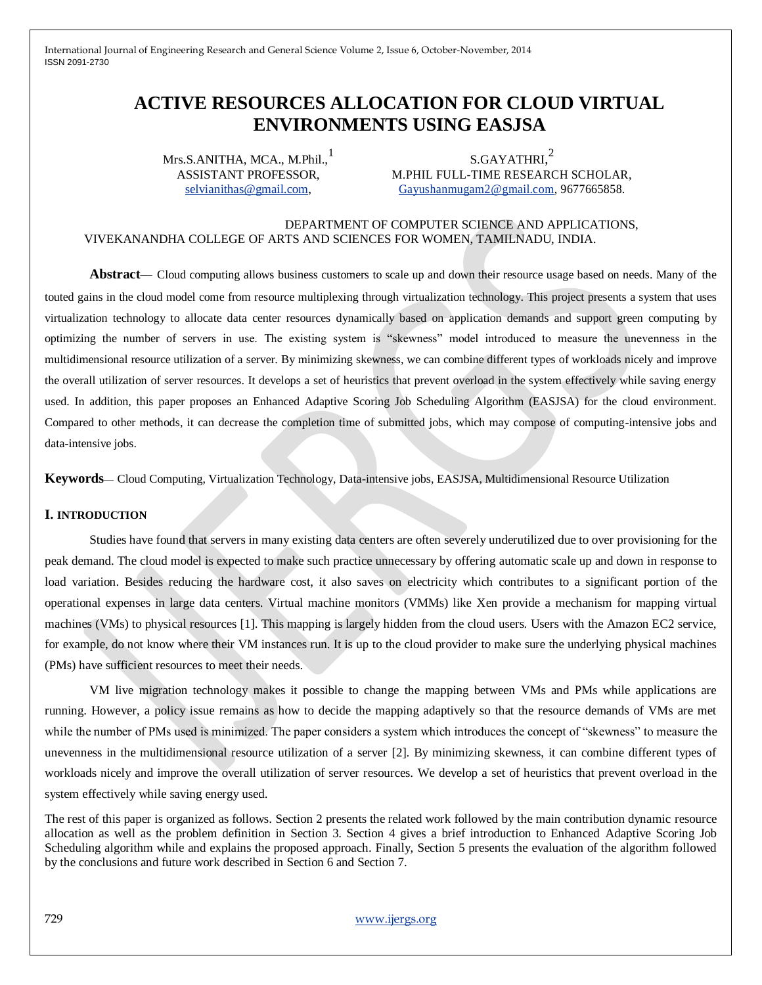# **ACTIVE RESOURCES ALLOCATION FOR CLOUD VIRTUAL ENVIRONMENTS USING EASJSA**

Mrs.S.ANITHA, MCA., M.Phil.,<sup>1</sup> ASSISTANT PROFESSOR, [selvianithas@gmail.com,](mailto:selvianithas@gmail.com)

 $\mathrm{s}$ .GAYATHRI, $^2$ M.PHIL FULL-TIME RESEARCH SCHOLAR, [Gayushanmugam2@gmail.com,](mailto:Gayushanmugam2@gmail.com) 9677665858.

#### DEPARTMENT OF COMPUTER SCIENCE AND APPLICATIONS, VIVEKANANDHA COLLEGE OF ARTS AND SCIENCES FOR WOMEN, TAMILNADU, INDIA.

**Abstract**— Cloud computing allows business customers to scale up and down their resource usage based on needs. Many of the touted gains in the cloud model come from resource multiplexing through virtualization technology. This project presents a system that uses virtualization technology to allocate data center resources dynamically based on application demands and support green computing by optimizing the number of servers in use. The existing system is "skewness" model introduced to measure the unevenness in the multidimensional resource utilization of a server. By minimizing skewness, we can combine different types of workloads nicely and improve the overall utilization of server resources. It develops a set of heuristics that prevent overload in the system effectively while saving energy used. In addition, this paper proposes an Enhanced Adaptive Scoring Job Scheduling Algorithm (EASJSA) for the cloud environment. Compared to other methods, it can decrease the completion time of submitted jobs, which may compose of computing-intensive jobs and data-intensive jobs.

**Keywords**— Cloud Computing, Virtualization Technology, Data-intensive jobs, EASJSA, Multidimensional Resource Utilization

### **I. INTRODUCTION**

Studies have found that servers in many existing data centers are often severely underutilized due to over provisioning for the peak demand. The cloud model is expected to make such practice unnecessary by offering automatic scale up and down in response to load variation. Besides reducing the hardware cost, it also saves on electricity which contributes to a significant portion of the operational expenses in large data centers. Virtual machine monitors (VMMs) like Xen provide a mechanism for mapping virtual machines (VMs) to physical resources [1]. This mapping is largely hidden from the cloud users. Users with the Amazon EC2 service, for example, do not know where their VM instances run. It is up to the cloud provider to make sure the underlying physical machines (PMs) have sufficient resources to meet their needs.

VM live migration technology makes it possible to change the mapping between VMs and PMs while applications are running. However, a policy issue remains as how to decide the mapping adaptively so that the resource demands of VMs are met while the number of PMs used is minimized. The paper considers a system which introduces the concept of "skewness" to measure the unevenness in the multidimensional resource utilization of a server [2]. By minimizing skewness, it can combine different types of workloads nicely and improve the overall utilization of server resources. We develop a set of heuristics that prevent overload in the system effectively while saving energy used.

The rest of this paper is organized as follows. Section 2 presents the related work followed by the main contribution dynamic resource allocation as well as the problem definition in Section 3. Section 4 gives a brief introduction to Enhanced Adaptive Scoring Job Scheduling algorithm while and explains the proposed approach. Finally, Section 5 presents the evaluation of the algorithm followed by the conclusions and future work described in Section 6 and Section 7.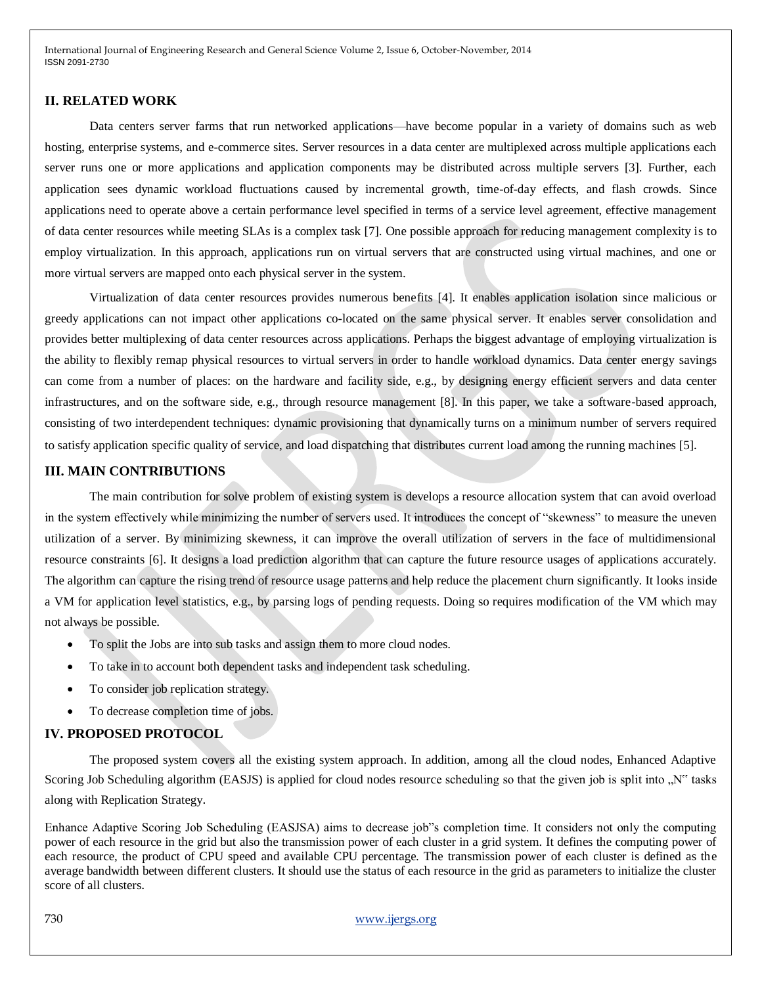#### **II. RELATED WORK**

Data centers server farms that run networked applications—have become popular in a variety of domains such as web hosting, enterprise systems, and e-commerce sites. Server resources in a data center are multiplexed across multiple applications each server runs one or more applications and application components may be distributed across multiple servers [3]. Further, each application sees dynamic workload fluctuations caused by incremental growth, time-of-day effects, and flash crowds. Since applications need to operate above a certain performance level specified in terms of a service level agreement, effective management of data center resources while meeting SLAs is a complex task [7]. One possible approach for reducing management complexity is to employ virtualization. In this approach, applications run on virtual servers that are constructed using virtual machines, and one or more virtual servers are mapped onto each physical server in the system.

Virtualization of data center resources provides numerous benefits [4]. It enables application isolation since malicious or greedy applications can not impact other applications co-located on the same physical server. It enables server consolidation and provides better multiplexing of data center resources across applications. Perhaps the biggest advantage of employing virtualization is the ability to flexibly remap physical resources to virtual servers in order to handle workload dynamics. Data center energy savings can come from a number of places: on the hardware and facility side, e.g., by designing energy efficient servers and data center infrastructures, and on the software side, e.g., through resource management [8]. In this paper, we take a software-based approach, consisting of two interdependent techniques: dynamic provisioning that dynamically turns on a minimum number of servers required to satisfy application specific quality of service, and load dispatching that distributes current load among the running machines [5].

## **III. MAIN CONTRIBUTIONS**

The main contribution for solve problem of existing system is develops a resource allocation system that can avoid overload in the system effectively while minimizing the number of servers used. It introduces the concept of "skewness" to measure the uneven utilization of a server. By minimizing skewness, it can improve the overall utilization of servers in the face of multidimensional resource constraints [6]. It designs a load prediction algorithm that can capture the future resource usages of applications accurately. The algorithm can capture the rising trend of resource usage patterns and help reduce the placement churn significantly. It looks inside a VM for application level statistics, e.g., by parsing logs of pending requests. Doing so requires modification of the VM which may not always be possible.

- To split the Jobs are into sub tasks and assign them to more cloud nodes.
- To take in to account both dependent tasks and independent task scheduling.
- To consider job replication strategy.
- To decrease completion time of jobs.

### **IV. PROPOSED PROTOCOL**

The proposed system covers all the existing system approach. In addition, among all the cloud nodes, Enhanced Adaptive Scoring Job Scheduling algorithm (EASJS) is applied for cloud nodes resource scheduling so that the given job is split into "N" tasks" along with Replication Strategy.

Enhance Adaptive Scoring Job Scheduling (EASJSA) aims to decrease job"s completion time. It considers not only the computing power of each resource in the grid but also the transmission power of each cluster in a grid system. It defines the computing power of each resource, the product of CPU speed and available CPU percentage. The transmission power of each cluster is defined as the average bandwidth between different clusters. It should use the status of each resource in the grid as parameters to initialize the cluster score of all clusters.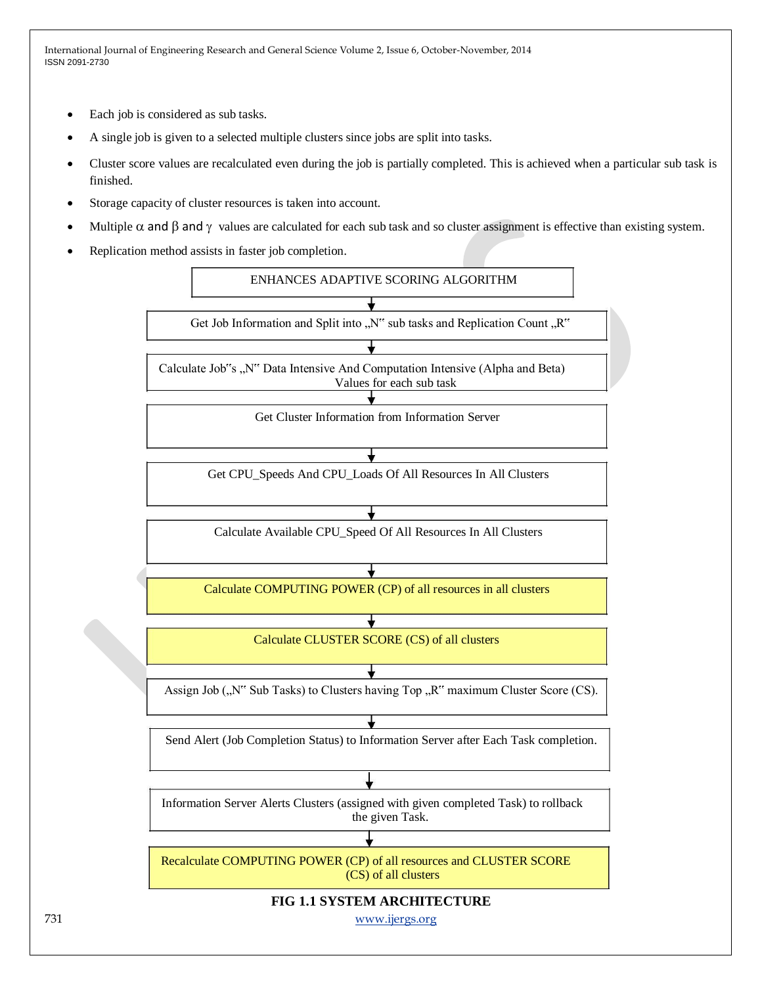- Each job is considered as sub tasks.
- A single job is given to a selected multiple clusters since jobs are split into tasks.
- Cluster score values are recalculated even during the job is partially completed. This is achieved when a particular sub task is finished.
- Storage capacity of cluster resources is taken into account.
- Multiple  $\alpha$  and  $\beta$  and  $\gamma$  values are calculated for each sub task and so cluster assignment is effective than existing system.
- Replication method assists in faster job completion.

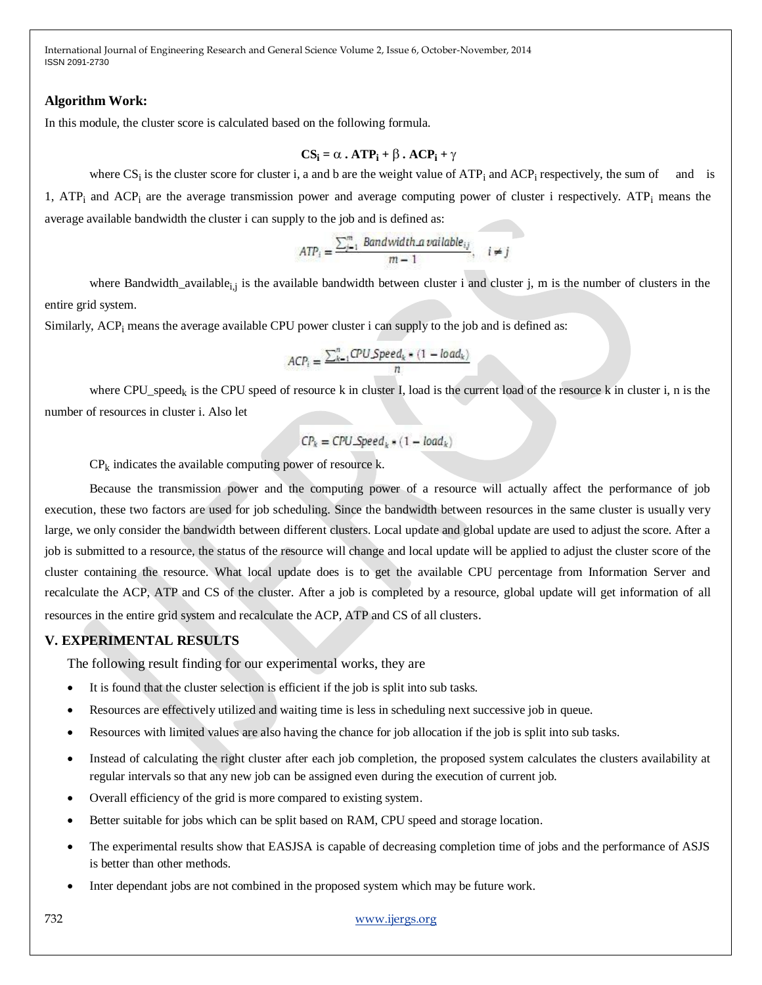#### **Algorithm Work:**

In this module, the cluster score is calculated based on the following formula.

$$
CS_i = \alpha \cdot ATP_i + \beta \cdot ACP_i + \gamma
$$

where  $CS_i$  is the cluster score for cluster i, a and b are the weight value of  $ATP_i$  and  $ACP_i$  respectively, the sum of and is 1, ATP<sub>i</sub> and ACP<sub>i</sub> are the average transmission power and average computing power of cluster i respectively. ATP<sub>i</sub> means the average available bandwidth the cluster i can supply to the job and is defined as:

$$
ATP_i = \frac{\sum_{j=1}^{m} Bandwidth\_available_{ij}}{m-1}, \quad i \neq j
$$

where Bandwidth\_available<sub>i,j</sub> is the available bandwidth between cluster i and cluster j, m is the number of clusters in the entire grid system.

Similarly,  $\text{ACP}_i$  means the average available CPU power cluster i can supply to the job and is defined as:

$$
ACP_i = \frac{\sum_{k=1}^{n} CPU Speed_k * (1 - load_k)}{n}
$$

where CPU\_speed<sub>k</sub> is the CPU speed of resource k in cluster I, load is the current load of the resource k in cluster i, n is the number of resources in cluster i. Also let

$$
CP_k = CPU\_Speed_k \bullet (1 - load_k)
$$

 $CP_k$  indicates the available computing power of resource k.

Because the transmission power and the computing power of a resource will actually affect the performance of job execution, these two factors are used for job scheduling. Since the bandwidth between resources in the same cluster is usually very large, we only consider the bandwidth between different clusters. Local update and global update are used to adjust the score. After a job is submitted to a resource, the status of the resource will change and local update will be applied to adjust the cluster score of the cluster containing the resource. What local update does is to get the available CPU percentage from Information Server and recalculate the ACP, ATP and CS of the cluster. After a job is completed by a resource, global update will get information of all resources in the entire grid system and recalculate the ACP, ATP and CS of all clusters.

## **V. EXPERIMENTAL RESULTS**

The following result finding for our experimental works, they are

- It is found that the cluster selection is efficient if the job is split into sub tasks.
- Resources are effectively utilized and waiting time is less in scheduling next successive job in queue.
- Resources with limited values are also having the chance for job allocation if the job is split into sub tasks.
- Instead of calculating the right cluster after each job completion, the proposed system calculates the clusters availability at regular intervals so that any new job can be assigned even during the execution of current job.
- Overall efficiency of the grid is more compared to existing system.
- Better suitable for jobs which can be split based on RAM, CPU speed and storage location.
- The experimental results show that EASJSA is capable of decreasing completion time of jobs and the performance of ASJS is better than other methods.
- Inter dependant jobs are not combined in the proposed system which may be future work.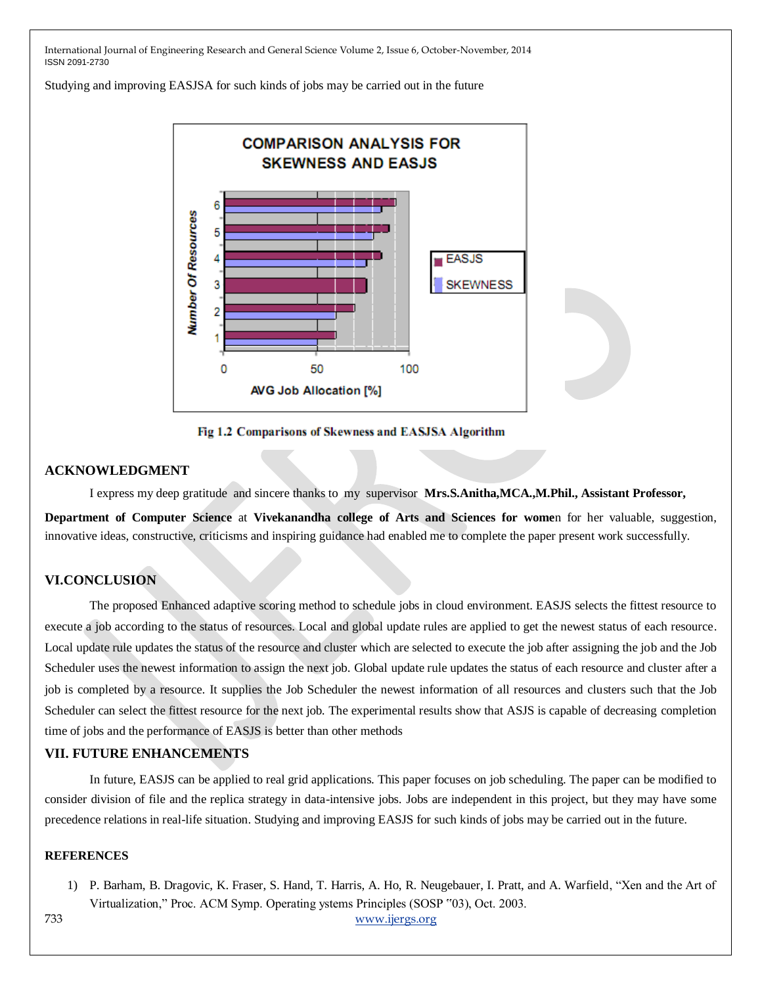Studying and improving EASJSA for such kinds of jobs may be carried out in the future



Fig 1.2 Comparisons of Skewness and EASJSA Algorithm

### **ACKNOWLEDGMENT**

I express my deep gratitude and sincere thanks to my supervisor **Mrs.S.Anitha,MCA.,M.Phil., Assistant Professor,**

**Department of Computer Science** at **Vivekanandha college of Arts and Sciences for wome**n for her valuable, suggestion, innovative ideas, constructive, criticisms and inspiring guidance had enabled me to complete the paper present work successfully.

## **VI.CONCLUSION**

The proposed Enhanced adaptive scoring method to schedule jobs in cloud environment. EASJS selects the fittest resource to execute a job according to the status of resources. Local and global update rules are applied to get the newest status of each resource. Local update rule updates the status of the resource and cluster which are selected to execute the job after assigning the job and the Job Scheduler uses the newest information to assign the next job. Global update rule updates the status of each resource and cluster after a job is completed by a resource. It supplies the Job Scheduler the newest information of all resources and clusters such that the Job Scheduler can select the fittest resource for the next job. The experimental results show that ASJS is capable of decreasing completion time of jobs and the performance of EASJS is better than other methods

## **VII. FUTURE ENHANCEMENTS**

In future, EASJS can be applied to real grid applications. This paper focuses on job scheduling. The paper can be modified to consider division of file and the replica strategy in data-intensive jobs. Jobs are independent in this project, but they may have some precedence relations in real-life situation. Studying and improving EASJS for such kinds of jobs may be carried out in the future.

#### **REFERENCES**

1) P. Barham, B. Dragovic, K. Fraser, S. Hand, T. Harris, A. Ho, R. Neugebauer, I. Pratt, and A. Warfield, "Xen and the Art of Virtualization," Proc. ACM Symp. Operating ystems Principles (SOSP "03), Oct. 2003.

733 www.ijergs.org